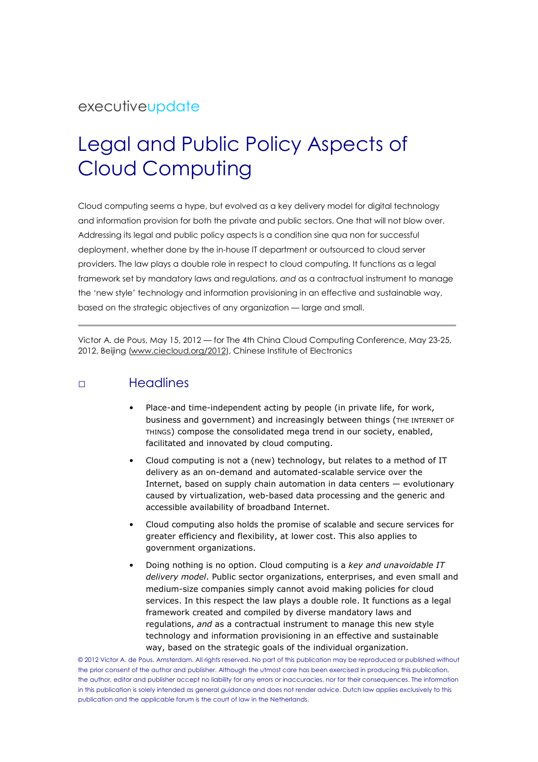## executiveupdate

# Legal and Public Policy Aspects of Cloud Computing

Cloud computing seems a hype, but evolved as a key delivery model for digital technology and information provision for both the private and public sectors. One that will not blow over. Addressing its legal and public policy aspects is a condition sine qua non for successful deployment, whether done by the in-house IT department or outsourced to cloud server providers. The law plays a double role in respect to cloud computing. It functions as a legal framework set by mandatory laws and regulations, and as a contractual instrument to manage the 'new style' technology and information provisioning in an effective and sustainable way, based on the strategic objectives of any organization — large and small.

Victor A. de Pous, May 15, 2012 — for The 4th China Cloud Computing Conference, May 23-25, 2012, Beijing (www.ciecloud.org/2012), Chinese Institute of Electronics

### □ Headlines

- Place-and time-independent acting by people (in private life, for work, business and government) and increasingly between things (THE INTERNET OF THINGS) compose the consolidated mega trend in our society, enabled, facilitated and innovated by cloud computing.
- Cloud computing is not a (new) technology, but relates to a method of IT delivery as an on-demand and automated-scalable service over the Internet, based on supply chain automation in data centers — evolutionary caused by virtualization, web-based data processing and the generic and accessible availability of broadband Internet.
- Cloud computing also holds the promise of scalable and secure services for greater efficiency and flexibility, at lower cost. This also applies to government organizations.
- Doing nothing is no option. Cloud computing is a key and unavoidable IT delivery model. Public sector organizations, enterprises, and even small and medium-size companies simply cannot avoid making policies for cloud services. In this respect the law plays a double role. It functions as a legal framework created and compiled by diverse mandatory laws and regulations, and as a contractual instrument to manage this new style technology and information provisioning in an effective and sustainable way, based on the strategic goals of the individual organization.

© 2012 Victor A. de Pous, Amsterdam. All rights reserved. No part of this publication may be reproduced or published without the prior consent of the author and publisher. Although the utmost care has been exercised in producing this publication, the author, editor and publisher accept no liability for any errors or inaccuracies, nor for their consequences. The information in this publication is solely intended as general guidance and does not render advice. Dutch law applies exclusively to this publication and the applicable forum is the court of law in the Netherlands.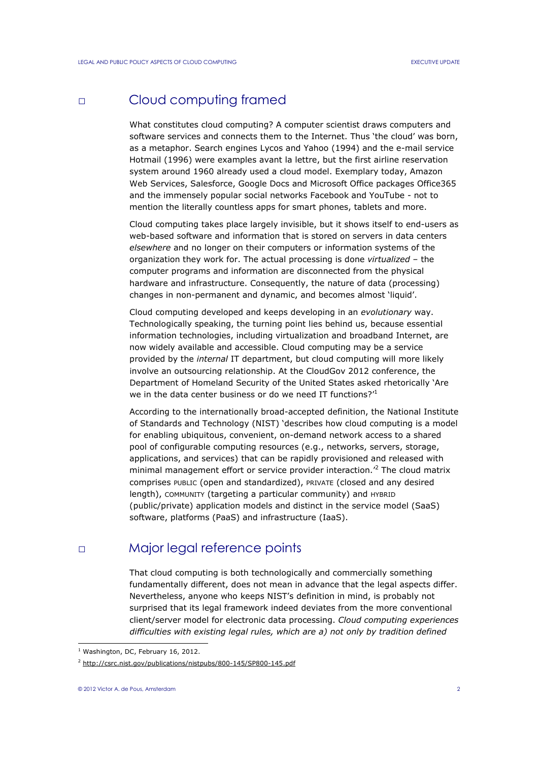## □ Cloud computing framed

What constitutes cloud computing? A computer scientist draws computers and software services and connects them to the Internet. Thus 'the cloud' was born, as a metaphor. Search engines Lycos and Yahoo (1994) and the e-mail service Hotmail (1996) were examples avant la lettre, but the first airline reservation system around 1960 already used a cloud model. Exemplary today, Amazon Web Services, Salesforce, Google Docs and Microsoft Office packages Office365 and the immensely popular social networks Facebook and YouTube - not to mention the literally countless apps for smart phones, tablets and more.

Cloud computing takes place largely invisible, but it shows itself to end-users as web-based software and information that is stored on servers in data centers elsewhere and no longer on their computers or information systems of the organization they work for. The actual processing is done virtualized – the computer programs and information are disconnected from the physical hardware and infrastructure. Consequently, the nature of data (processing) changes in non-permanent and dynamic, and becomes almost 'liquid'.

Cloud computing developed and keeps developing in an evolutionary way. Technologically speaking, the turning point lies behind us, because essential information technologies, including virtualization and broadband Internet, are now widely available and accessible. Cloud computing may be a service provided by the internal IT department, but cloud computing will more likely involve an outsourcing relationship. At the CloudGov 2012 conference, the Department of Homeland Security of the United States asked rhetorically 'Are we in the data center business or do we need IT functions?<sup>1</sup>

According to the internationally broad-accepted definition, the National Institute of Standards and Technology (NIST) 'describes how cloud computing is a model for enabling ubiquitous, convenient, on-demand network access to a shared pool of configurable computing resources (e.g., networks, servers, storage, applications, and services) that can be rapidly provisioned and released with minimal management effort or service provider interaction.<sup>'2</sup> The cloud matrix comprises PUBLIC (open and standardized), PRIVATE (closed and any desired length), COMMUNITY (targeting a particular community) and HYBRID (public/private) application models and distinct in the service model (SaaS) software, platforms (PaaS) and infrastructure (IaaS).

### □ Major legal reference points

That cloud computing is both technologically and commercially something fundamentally different, does not mean in advance that the legal aspects differ. Nevertheless, anyone who keeps NIST's definition in mind, is probably not surprised that its legal framework indeed deviates from the more conventional client/server model for electronic data processing. Cloud computing experiences difficulties with existing legal rules, which are a) not only by tradition defined

L

<sup>&</sup>lt;sup>1</sup> Washington, DC, February 16, 2012.

<sup>&</sup>lt;sup>2</sup> http://csrc.nist.gov/publications/nistpubs/800-145/SP800-145.pdf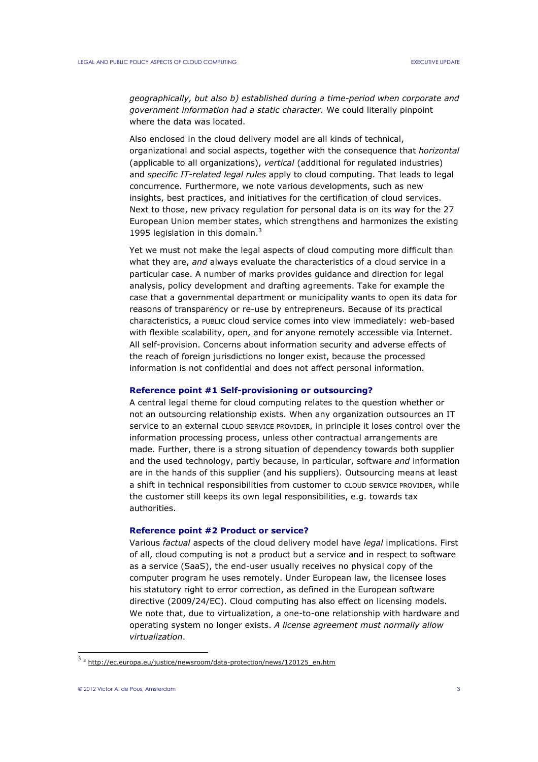geographically, but also b) established during a time-period when corporate and government information had a static character. We could literally pinpoint where the data was located.

Also enclosed in the cloud delivery model are all kinds of technical, organizational and social aspects, together with the consequence that horizontal (applicable to all organizations), vertical (additional for regulated industries) and specific IT-related legal rules apply to cloud computing. That leads to legal concurrence. Furthermore, we note various developments, such as new insights, best practices, and initiatives for the certification of cloud services. Next to those, new privacy regulation for personal data is on its way for the 27 European Union member states, which strengthens and harmonizes the existing 1995 legislation in this domain. $3$ 

Yet we must not make the legal aspects of cloud computing more difficult than what they are, and always evaluate the characteristics of a cloud service in a particular case. A number of marks provides guidance and direction for legal analysis, policy development and drafting agreements. Take for example the case that a governmental department or municipality wants to open its data for reasons of transparency or re-use by entrepreneurs. Because of its practical characteristics, a PUBLIC cloud service comes into view immediately: web-based with flexible scalability, open, and for anyone remotely accessible via Internet. All self-provision. Concerns about information security and adverse effects of the reach of foreign jurisdictions no longer exist, because the processed information is not confidential and does not affect personal information.

#### Reference point #1 Self-provisioning or outsourcing?

A central legal theme for cloud computing relates to the question whether or not an outsourcing relationship exists. When any organization outsources an IT service to an external CLOUD SERVICE PROVIDER, in principle it loses control over the information processing process, unless other contractual arrangements are made. Further, there is a strong situation of dependency towards both supplier and the used technology, partly because, in particular, software *and* information are in the hands of this supplier (and his suppliers). Outsourcing means at least a shift in technical responsibilities from customer to CLOUD SERVICE PROVIDER, while the customer still keeps its own legal responsibilities, e.g. towards tax authorities.

#### Reference point #2 Product or service?

Various factual aspects of the cloud delivery model have legal implications. First of all, cloud computing is not a product but a service and in respect to software as a service (SaaS), the end-user usually receives no physical copy of the computer program he uses remotely. Under European law, the licensee loses his statutory right to error correction, as defined in the European software directive (2009/24/EC). Cloud computing has also effect on licensing models. We note that, due to virtualization, a one-to-one relationship with hardware and operating system no longer exists. A license agreement must normally allow virtualization.

<sup>&</sup>lt;sup>3</sup> 3</sup> http://ec.europa.eu/justice/newsroom/data-protection/news/120125\_en.htm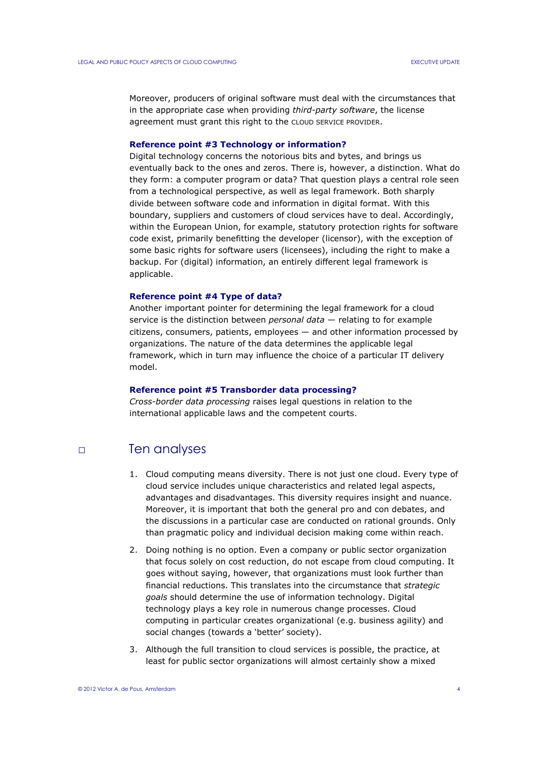Moreover, producers of original software must deal with the circumstances that in the appropriate case when providing third-party software, the license agreement must grant this right to the CLOUD SERVICE PROVIDER.

#### Reference point #3 Technology or information?

Digital technology concerns the notorious bits and bytes, and brings us eventually back to the ones and zeros. There is, however, a distinction. What do they form: a computer program or data? That question plays a central role seen from a technological perspective, as well as legal framework. Both sharply divide between software code and information in digital format. With this boundary, suppliers and customers of cloud services have to deal. Accordingly, within the European Union, for example, statutory protection rights for software code exist, primarily benefitting the developer (licensor), with the exception of some basic rights for software users (licensees), including the right to make a backup. For (digital) information, an entirely different legal framework is applicable.

#### Reference point #4 Type of data?

Another important pointer for determining the legal framework for a cloud service is the distinction between *personal data*  $-$  relating to for example citizens, consumers, patients, employees — and other information processed by organizations. The nature of the data determines the applicable legal framework, which in turn may influence the choice of a particular IT delivery model.

### Reference point #5 Transborder data processing?

Cross-border data processing raises legal questions in relation to the international applicable laws and the competent courts.

### □ Ten analyses

- 1. Cloud computing means diversity. There is not just one cloud. Every type of cloud service includes unique characteristics and related legal aspects, advantages and disadvantages. This diversity requires insight and nuance. Moreover, it is important that both the general pro and con debates, and the discussions in a particular case are conducted on rational grounds. Only than pragmatic policy and individual decision making come within reach.
- 2. Doing nothing is no option. Even a company or public sector organization that focus solely on cost reduction, do not escape from cloud computing. It goes without saying, however, that organizations must look further than financial reductions. This translates into the circumstance that strategic goals should determine the use of information technology. Digital technology plays a key role in numerous change processes. Cloud computing in particular creates organizational (e.g. business agility) and social changes (towards a 'better' society).
- 3. Although the full transition to cloud services is possible, the practice, at least for public sector organizations will almost certainly show a mixed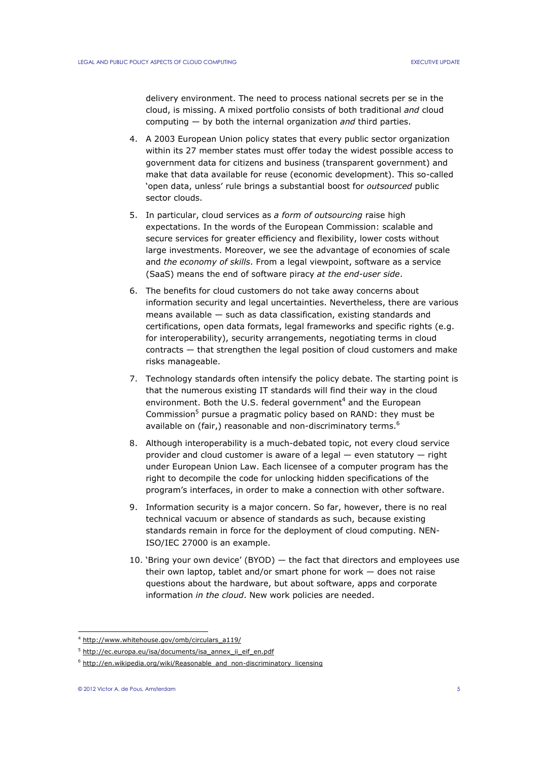delivery environment. The need to process national secrets per se in the cloud, is missing. A mixed portfolio consists of both traditional and cloud computing  $-$  by both the internal organization and third parties.

- 4. A 2003 European Union policy states that every public sector organization within its 27 member states must offer today the widest possible access to government data for citizens and business (transparent government) and make that data available for reuse (economic development). This so-called 'open data, unless' rule brings a substantial boost for outsourced public sector clouds.
- 5. In particular, cloud services as a form of outsourcing raise high expectations. In the words of the European Commission: scalable and secure services for greater efficiency and flexibility, lower costs without large investments. Moreover, we see the advantage of economies of scale and the economy of skills. From a legal viewpoint, software as a service (SaaS) means the end of software piracy at the end-user side.
- 6. The benefits for cloud customers do not take away concerns about information security and legal uncertainties. Nevertheless, there are various means available — such as data classification, existing standards and certifications, open data formats, legal frameworks and specific rights (e.g. for interoperability), security arrangements, negotiating terms in cloud contracts — that strengthen the legal position of cloud customers and make risks manageable.
- 7. Technology standards often intensify the policy debate. The starting point is that the numerous existing IT standards will find their way in the cloud environment. Both the U.S. federal government<sup>4</sup> and the European Commission<sup>5</sup> pursue a pragmatic policy based on RAND: they must be available on (fair,) reasonable and non-discriminatory terms.<sup>6</sup>
- 8. Although interoperability is a much-debated topic, not every cloud service provider and cloud customer is aware of a legal — even statutory — right under European Union Law. Each licensee of a computer program has the right to decompile the code for unlocking hidden specifications of the program's interfaces, in order to make a connection with other software.
- 9. Information security is a major concern. So far, however, there is no real technical vacuum or absence of standards as such, because existing standards remain in force for the deployment of cloud computing. NEN-ISO/IEC 27000 is an example.
- 10. 'Bring your own device' (BYOD) the fact that directors and employees use their own laptop, tablet and/or smart phone for work — does not raise questions about the hardware, but about software, apps and corporate information in the cloud. New work policies are needed.

L

<sup>4</sup> http://www.whitehouse.gov/omb/circulars\_a119/

<sup>&</sup>lt;sup>5</sup> http://ec.europa.eu/isa/documents/isa\_annex\_ii\_eif\_en.pdf

<sup>&</sup>lt;sup>6</sup> http://en.wikipedia.org/wiki/Reasonable\_and\_non-discriminatory\_licensing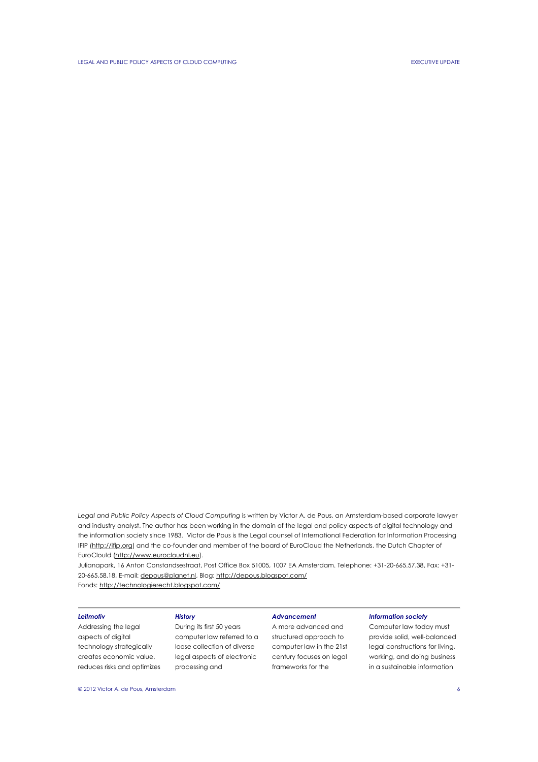Legal and Public Policy Aspects of Cloud Computing is written by Victor A. de Pous, an Amsterdam-based corporate lawyer and industry analyst. The author has been working in the domain of the legal and policy aspects of digital technology and the information society since 1983. Victor de Pous is the Legal counsel of International Federation for Information Processing IFIP (http://ifip.org) and the co-founder and member of the board of EuroCloud the Netherlands, the Dutch Chapter of EuroClould (http://www.eurocloudnl.eu).

Julianapark, 16 Anton Constandsestraat, Post Office Box 51005, 1007 EA Amsterdam. Telephone: +31-20-665.57.38, Fax: +31- 20-665.58.18, E-mail: depous@planet.nl, Blog: http://depous.blogspot.com/ Fonds: http://technologierecht.blogspot.com/

Leitmotiv Addressing the legal aspects of digital technology strategically creates economic value, reduces risks and optimizes

### **History** During its first 50 years computer law referred to a loose collection of diverse legal aspects of electronic processing and

### Advancement

A more advanced and structured approach to computer law in the 21st century focuses on legal frameworks for the

#### Information society

Computer law today must provide solid, well-balanced legal constructions for living, working, and doing business in a sustainable information

© 2012 Victor A. de Pous, Amsterdam 6